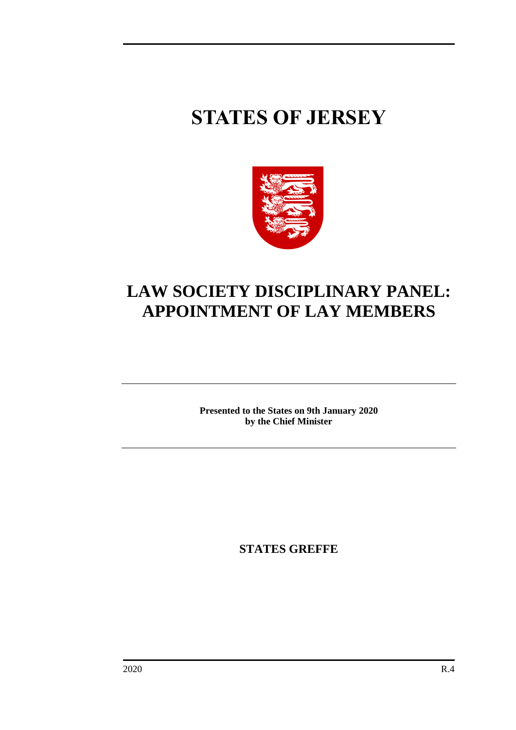# **STATES OF JERSEY**



## **LAW SOCIETY DISCIPLINARY PANEL: APPOINTMENT OF LAY MEMBERS**

**Presented to the States on 9th January 2020 by the Chief Minister**

**STATES GREFFE**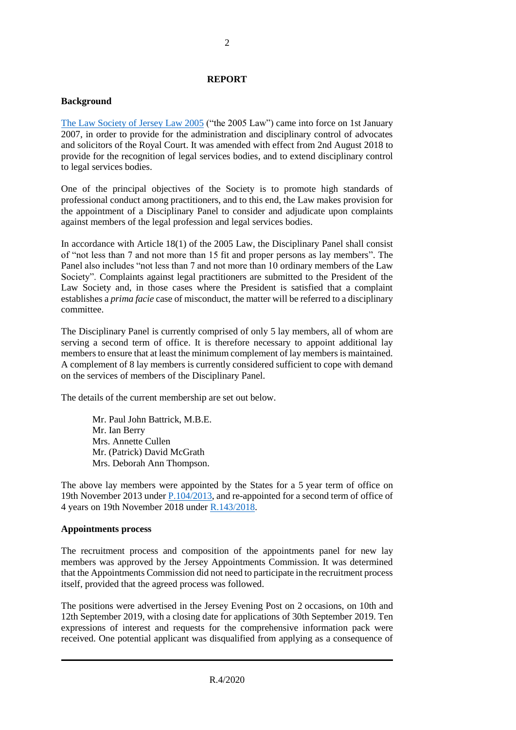#### **REPORT**

#### **Background**

[The Law Society of Jersey Law 2005](https://www.jerseylaw.je/laws/revised/Pages/07.570.aspx) ("the 2005 Law") came into force on 1st January 2007, in order to provide for the administration and disciplinary control of advocates and solicitors of the Royal Court. It was amended with effect from 2nd August 2018 to provide for the recognition of legal services bodies, and to extend disciplinary control to legal services bodies.

One of the principal objectives of the Society is to promote high standards of professional conduct among practitioners, and to this end, the Law makes provision for the appointment of a Disciplinary Panel to consider and adjudicate upon complaints against members of the legal profession and legal services bodies.

In accordance with Article 18(1) of the 2005 Law, the Disciplinary Panel shall consist of "not less than 7 and not more than 15 fit and proper persons as lay members". The Panel also includes "not less than 7 and not more than 10 ordinary members of the Law Society". Complaints against legal practitioners are submitted to the President of the Law Society and, in those cases where the President is satisfied that a complaint establishes a *prima facie* case of misconduct, the matter will be referred to a disciplinary committee.

The Disciplinary Panel is currently comprised of only 5 lay members, all of whom are serving a second term of office. It is therefore necessary to appoint additional lay members to ensure that at least the minimum complement of lay members is maintained. A complement of 8 lay members is currently considered sufficient to cope with demand on the services of members of the Disciplinary Panel.

The details of the current membership are set out below.

Mr. Paul John Battrick, M.B.E. Mr. Ian Berry Mrs. Annette Cullen Mr. (Patrick) David McGrath Mrs. Deborah Ann Thompson.

The above lay members were appointed by the States for a 5 year term of office on 19th November 2013 under [P.104/2013,](https://statesassembly.gov.je/Pages/Propositions.aspx?ref=P.104/2013&refurl=%2fPages%2fPropositions.aspx%3fdocumentref%3dP.104%2f2013) and re-appointed for a second term of office of 4 years on 19th November 2018 under [R.143/2018.](http://www.statesassembly.gov.je/assemblyreports/2018/r.143-2018.pdf)

#### **Appointments process**

The recruitment process and composition of the appointments panel for new lay members was approved by the Jersey Appointments Commission. It was determined that the Appointments Commission did not need to participate in the recruitment process itself, provided that the agreed process was followed.

The positions were advertised in the Jersey Evening Post on 2 occasions, on 10th and 12th September 2019, with a closing date for applications of 30th September 2019. Ten expressions of interest and requests for the comprehensive information pack were received. One potential applicant was disqualified from applying as a consequence of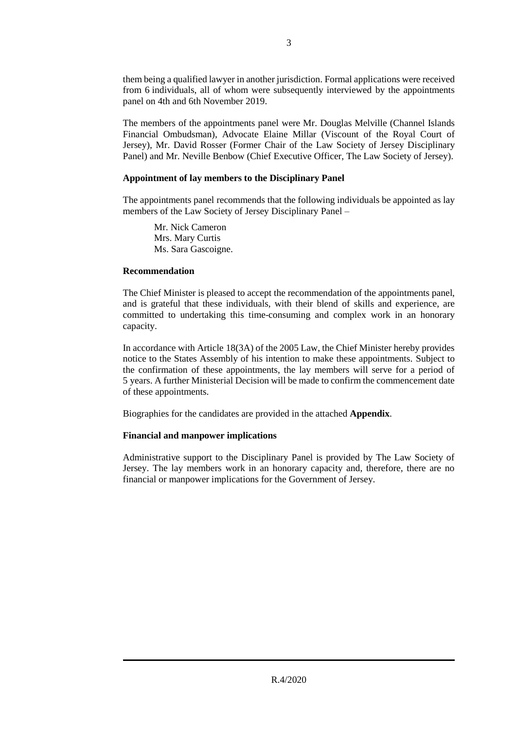them being a qualified lawyer in another jurisdiction. Formal applications were received from 6 individuals, all of whom were subsequently interviewed by the appointments panel on 4th and 6th November 2019.

The members of the appointments panel were Mr. Douglas Melville (Channel Islands Financial Ombudsman), Advocate Elaine Millar (Viscount of the Royal Court of Jersey), Mr. David Rosser (Former Chair of the Law Society of Jersey Disciplinary Panel) and Mr. Neville Benbow (Chief Executive Officer, The Law Society of Jersey).

#### **Appointment of lay members to the Disciplinary Panel**

The appointments panel recommends that the following individuals be appointed as lay members of the Law Society of Jersey Disciplinary Panel –

Mr. Nick Cameron Mrs. Mary Curtis Ms. Sara Gascoigne.

#### **Recommendation**

The Chief Minister is pleased to accept the recommendation of the appointments panel, and is grateful that these individuals, with their blend of skills and experience, are committed to undertaking this time-consuming and complex work in an honorary capacity.

In accordance with Article 18(3A) of the 2005 Law, the Chief Minister hereby provides notice to the States Assembly of his intention to make these appointments. Subject to the confirmation of these appointments, the lay members will serve for a period of 5 years. A further Ministerial Decision will be made to confirm the commencement date of these appointments.

Biographies for the candidates are provided in the attached **Appendix**.

### **Financial and manpower implications**

Administrative support to the Disciplinary Panel is provided by The Law Society of Jersey. The lay members work in an honorary capacity and, therefore, there are no financial or manpower implications for the Government of Jersey.